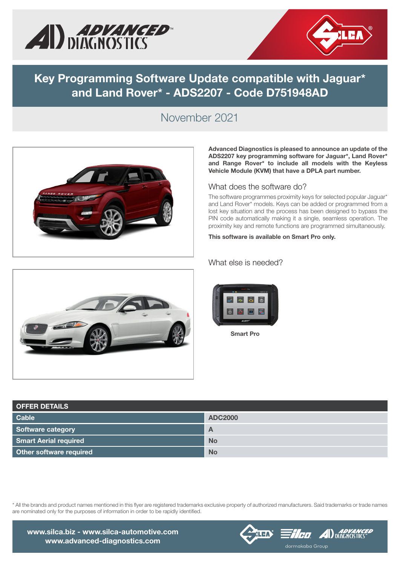



## Key Programming Software Update compatible with Jaguar\* and Land Rover\* - ADS2207 - Code D751948AD

### November 2021



#### Advanced Diagnostics is pleased to announce an update of the ADS2207 key programming software for Jaguar\*, Land Rover\* and Range Rover\* to include all models with the Keyless Vehicle Module (KVM) that have a DPLA part number.

#### What does the software do?

The software programmes proximity keys for selected popular Jaguar\* and Land Rover\* models. Keys can be added or programmed from a lost key situation and the process has been designed to bypass the PIN code automatically making it a single, seamless operation. The proximity key and remote functions are programmed simultaneously.

#### This software is available on Smart Pro only.



#### What else is needed?



OFFER DETAILS Cable **Cable ADC2000** Software category **A** and the set of the set of the set of the set of the set of the set of the set of the set of the set of the set of the set of the set of the set of the set of the set of the set of the set of the set o Smart Aerial required No. 2008 No. 2009 No. 2009 No. 2009 No. 2009 No. 2009 No. 2009 No. 2009 No. 2009 No. 200

\* All the brands and product names mentioned in this flyer are registered trademarks exclusive property of authorized manufacturers. Said trademarks or trade names are nominated only for the purposes of information in order to be rapidly identified.



Other software required No. 2006 No. 2007 No. 2008 No. 2008 No. 2008 No. 2008 No. 2008 No. 2008 No. 2008 No. 2008 No. 2008 No. 2008 No. 2008 No. 2008 No. 2008 No. 2008 No. 2008 No. 2008 No. 2008 No. 2008 No. 2008 No. 2008

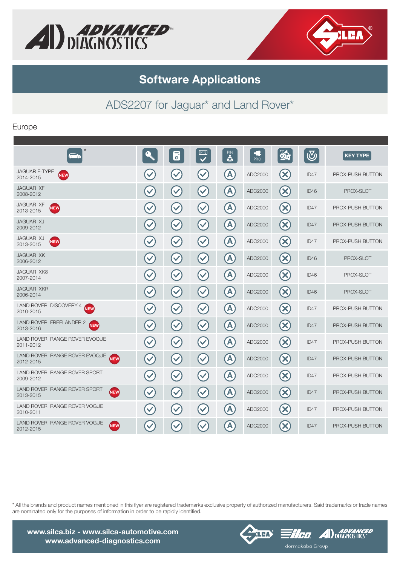



## Software Applications

# ADS2207 for Jaguar\* and Land Rover\*

### Europe

|                                                           |                      | $\overline{\mathbf{b}}$ | PIN<br>$\checkmark$  | PIN              | Œ<br><b>PRO</b> | 85                              | $\bigcirc$ | <b>KEY TYPE</b>  |
|-----------------------------------------------------------|----------------------|-------------------------|----------------------|------------------|-----------------|---------------------------------|------------|------------------|
| <b>JAGUAR F-TYPE</b><br><b>NEW</b><br>2014-2015           | $\checkmark$         | $\checkmark$            | $\checkmark$         | A                | ADC2000         | $(\times)$                      | ID47       | PROX-PUSH BUTTON |
| <b>JAGUAR XF</b><br>2008-2012                             | $\checkmark$         | $\checkmark$            | $\blacktriangledown$ | A                | ADC2000         | $\left( \mathbf{\infty}\right)$ | ID46       | PROX-SLOT        |
| <b>JAGUAR XF</b><br><b>NEW</b><br>2013-2015               | $\blacktriangledown$ | $\checkmark$            | $\blacktriangledown$ | A                | ADC2000         | $(\mathsf{X})$                  | ID47       | PROX-PUSH BUTTON |
| JAGUAR XJ<br>2009-2012                                    | $\checkmark$         | $\blacktriangledown$    | $\checkmark$         | $\blacktriangle$ | ADC2000         | $(\mathsf{x})$                  | ID47       | PROX-PUSH BUTTON |
| JAGUAR XJ<br><b>NEW</b><br>2013-2015                      | $\checkmark$         | $\blacktriangledown$    | $\blacktriangledown$ | A                | ADC2000         | $(\times)$                      | ID47       | PROX-PUSH BUTTON |
| <b>JAGUAR XK</b><br>2006-2012                             | $\checkmark$         | $\blacktriangledown$    | $\checkmark$         | A                | ADC2000         | $\left( \mathbf{\infty}\right)$ | ID46       | PROX-SLOT        |
| <b>JAGUAR XK8</b><br>2007-2014                            | $\checkmark$         | $\checkmark$            | $\blacktriangledown$ | $\blacktriangle$ | ADC2000         | $(\times)$                      | ID46       | PROX-SLOT        |
| <b>JAGUAR XKR</b><br>2006-2014                            | $\checkmark$         | $\checkmark$            | $\checkmark$         | A                | ADC2000         | $(\mathsf{x})$                  | ID46       | PROX-SLOT        |
| LAND ROVER DISCOVERY 4<br><b>NEW</b><br>2010-2015         | $\blacktriangledown$ | $\checkmark$            | $\blacktriangledown$ | A                | ADC2000         | $(\times)$                      | ID47       | PROX-PUSH BUTTON |
| <b>LAND ROVER FREELANDER 2</b><br><b>NEW</b><br>2013-2016 | $\checkmark$         | $\checkmark$            | $\blacktriangledown$ | $\Lambda$        | ADC2000         | $\left( \mathbf{\infty}\right)$ | ID47       | PROX-PUSH BUTTON |
| LAND ROVER RANGE ROVER EVOQUE<br>2011-2012                | $\blacktriangledown$ | $\checkmark$            | $\blacktriangledown$ | A                | ADC2000         | $(\times)$                      | ID47       | PROX-PUSH BUTTON |
| LAND ROVER RANGE ROVER EVOQUE<br><b>NEW</b><br>2012-2015  | $\checkmark$         | $\checkmark$            | $\checkmark$         | A                | ADC2000         | $\left(\mathsf{x}\right)$       | ID47       | PROX-PUSH BUTTON |
| LAND ROVER RANGE ROVER SPORT<br>2009-2012                 | $\blacktriangledown$ | $\blacktriangledown$    | $\blacktriangledown$ | A                | ADC2000         | $(\bm{\times})$                 | ID47       | PROX-PUSH BUTTON |
| LAND ROVER RANGE ROVER SPORT<br><b>NEW</b><br>2013-2015   | $\checkmark$         | $\checkmark$            | $\blacktriangledown$ | A                | ADC2000         | $(\times)$                      | ID47       | PROX-PUSH BUTTON |
| LAND ROVER RANGE ROVER VOGUE<br>2010-2011                 | $\checkmark$         | $\blacktriangledown$    | $\blacktriangledown$ | A                | ADC2000         | $\left( \mathsf{x}\right)$      | ID47       | PROX-PUSH BUTTON |
| LAND ROVER RANGE ROVER VOGUE<br>NEW<br>2012-2015          | $\checkmark$         | $\checkmark$            | $\checkmark$         | A                | ADC2000         | $\left( \infty \right)$         | ID47       | PROX-PUSH BUTTON |

\* All the brands and product names mentioned in this flyer are registered trademarks exclusive property of authorized manufacturers. Said trademarks or trade names are nominated only for the purposes of information in order to be rapidly identified.





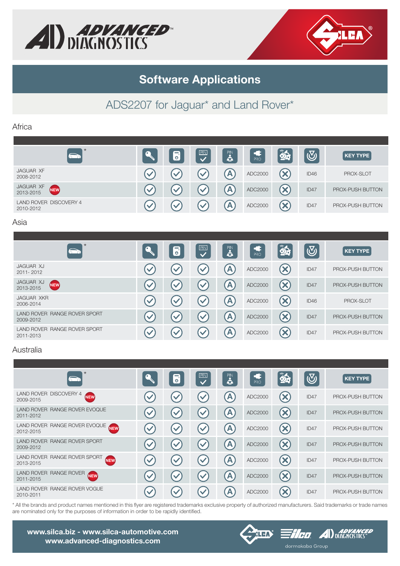



# Software Applications

# ADS2207 for Jaguar\* and Land Rover\*

#### Africa

| $\star$                                    | $\overline{\bullet}$ | PIN                  | PIN<br>4     | $F_{PRO}$ | 85 | $\overline{\nabla}_i$ | <b>KEY TYPE</b>  |
|--------------------------------------------|----------------------|----------------------|--------------|-----------|----|-----------------------|------------------|
| <b>JAGUAR XF</b><br>2008-2012              | $\mathcal{L}$        | $\blacktriangledown$ | A            | ADC2000   |    | ID46                  | PROX-SLOT        |
| JAGUAR XF<br>NEW<br>2013-2015              |                      | $\mathcal{S}$        | $\mathbf{A}$ | ADC2000   |    | ID47                  | PROX-PUSH BUTTON |
| <b>LAND ROVER DISCOVERY 4</b><br>2010-2012 | <b>N</b>             | $\sim$               | A            | ADC2000   | ×  | ID47                  | PROX-PUSH BUTTON |

#### Asia

| $\star$<br>a de de la compagnie de la compagnie de la compagnie de la compagnie de la compagnie de la compagnie de la com<br>De la compagnie de la compagnie de la compagnie de la compagnie de la compagnie de la compagnie de la compagni | െ                    | $\overline{\bullet}$ | $\overline{\mathbf{C}}$ | $\ddot{\bullet}$ | PRO     | 85                         | $\bigcirc$       | <b>KEY TYPE</b>  |
|---------------------------------------------------------------------------------------------------------------------------------------------------------------------------------------------------------------------------------------------|----------------------|----------------------|-------------------------|------------------|---------|----------------------------|------------------|------------------|
| JAGUAR XJ<br>2011-2012                                                                                                                                                                                                                      | $\checkmark$         | $\checkmark$         | $\blacktriangledown$    | $\mathbf{A}$     | ADC2000 | $(\mathsf{X})$             | ID47             | PROX-PUSH BUTTON |
| JAGUAR XJ<br><b>NEW</b><br>2013-2015                                                                                                                                                                                                        | $\blacktriangledown$ | $\checkmark$         | $\blacktriangledown$    | Ά                | ADC2000 | $\mathbf{x}$               | ID47             | PROX-PUSH BUTTON |
| <b>JAGUAR XKR</b><br>2006-2014                                                                                                                                                                                                              | $\checkmark$         | $\checkmark$         | $\blacktriangledown$    | A                | ADC2000 | $\mathbf{x}$               | ID46             | PROX-SLOT        |
| LAND ROVER RANGE ROVER SPORT<br>2009-2012                                                                                                                                                                                                   |                      | $\checkmark$         | $\blacktriangledown$    | $\mathbf{A}$     | ADC2000 | $\left( \mathsf{x}\right)$ | ID47             | PROX-PUSH BUTTON |
| LAND ROVER RANGE ROVER SPORT<br>2011-2013                                                                                                                                                                                                   |                      | $\blacktriangledown$ | $\checkmark$            | $\blacktriangle$ | ADC2000 | $\bm{\times}$              | ID <sub>47</sub> | PROX-PUSH BUTTON |

### Australia

| $\star$                                                                 | $\overline{\bullet}$ | PIN<br>$\checkmark$ | $\ddot{\bullet}$ | $\blacktriangleleft$<br>PRO | 25                         | $\bigcirc$ | <b>KEY TYPE</b>  |
|-------------------------------------------------------------------------|----------------------|---------------------|------------------|-----------------------------|----------------------------|------------|------------------|
| <b>LAND ROVER</b><br><b>DISCOVERY 4</b><br>NEW <sup></sup><br>2009-2015 | $\checkmark$         | $\checkmark$        | A                | ADC2000                     | $\bm{\times}$              | ID47       | PROX-PUSH BUTTON |
| LAND ROVER RANGE ROVER EVOQUE<br>2011-2012                              | $\checkmark$         | $\checkmark$        | A                | ADC2000                     | $\left( \mathsf{x}\right)$ | ID47       | PROX-PUSH BUTTON |
| LAND ROVER RANGE ROVER EVOQUE NEW<br>2012-2015                          | $\blacktriangledown$ | $\checkmark$        | A                | ADC2000                     | $\mathbf{x}$               | ID47       | PROX-PUSH BUTTON |
| <b>LAND ROVER RANGE ROVER SPORT</b><br>2009-2012                        | $\checkmark$         | $\checkmark$        | A                | ADC2000                     | $\boldsymbol{\times}$      | ID47       | PROX-PUSH BUTTON |
| LAND ROVER RANGE ROVER SPORT<br><b>NEW</b><br>2013-2015                 | $\blacktriangledown$ | $\checkmark$        | A                | ADC2000                     | $\left( \infty \right)$    | ID47       | PROX-PUSH BUTTON |
| LAND ROVER RANGE ROVER<br><b>NEW</b><br>2011-2015                       | $\checkmark$         | $\checkmark$        | A                | ADC2000                     | $\boldsymbol{\mathsf{X}}$  | ID47       | PROX-PUSH BUTTON |
| <b>LAND ROVER</b><br><b>RANGE ROVER VOGUE</b><br>2010-2011              |                      |                     | A                | ADC2000                     | $\bm{\times}$              | ID47       | PROX-PUSH BUTTON |

\* All the brands and product names mentioned in this flyer are registered trademarks exclusive property of authorized manufacturers. Said trademarks or trade names are nominated only for the purposes of information in order to be rapidly identified.

www.silca.biz - www.silca-automotive.com www.advanced-diagnostics.com